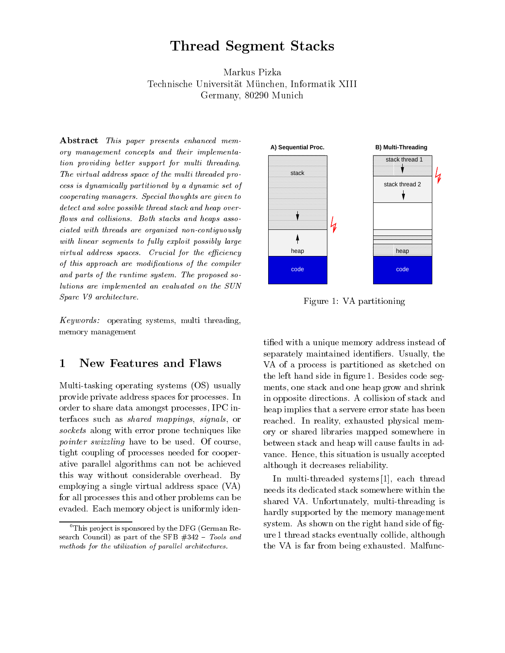# $T = T$  . The state  $T = T$  states states states states states in the state  $T$

Markus Pizka Technische Universität München, Informatik XIII Germany, Component and Contract to the Contract of the Contract of the Contract of The Contract of The Contract of The Contract of The Contract of The Contract of The Contract of The Contract of The Contract of The Contrac

Abstract This paper presents enhanced mem ory management concepts and their implementation tion providing better support for multi threading The virtual address space of the multi threaded process is dynamically partitioned by a dynamic set of  $\omega$  cooperating managers. Special thoughts are given to  $\sim$ detect and solve possible thread stack and heap over-ows and col lisions Both stacks and heaps asso ciated with the with the continues none continues with the second continues. with linear segments to fully exploit possibly large  $\sim$ virtual address spaces Crucial for the eciency of this approach are modications of the compiler and parts of the runtime system The proposed so lutions are inplemented and complement on the SUN DOM in the SUN Device of the SUN Device of the SUN Device of Sparc V9 architecture.

 $Keywords:$  operating systems, multi threading, memory management

### 1 New Features and Flaws

Multitasking operating systems OS- usually provide private address spaces for processes In order to share data amongst processes IPC in terfaces such as *shared mappings*, *signals*, or sockets along with error prone techniques like pointer swizzling have to be used. Of course, tight coupling of processes needed for cooper ative parallel algorithms can not be achieved this way without considerable overhead. By employing a single virtual address space  $(VA)$ for all processes this and other problems can be evaded. Each memory object is uniformly iden-



Figure 1: VA partitioning

tified with a unique memory address instead of separately maintained identifiers. Usually, the VA of a process is partitioned as sketched on the left hand side in figure 1. Besides code segments, one stack and one heap grow and shrink in opposite directions A collision of stack and heap implies that a servere error state has been reached. In reality, exhausted physical memory or shared libraries mapped somewhere in between stack and heap will cause faults in ad vance. Hence, this situation is usually accepted although it decreases reliability

 needs its dedicated stack somewhere within the In multi-threaded systems  $\left[1\right]$ , each thread shared VA. Unfortunately, multi-threading is hardly supported by the memory management system. As shown on the right hand side of figure 1 thread stacks eventually collide, although the VA is far from being exhausted. Malfunc-

<sup>&</sup>lt;sup>0</sup>This project is sponsored by the DFG (German Re- $\sim$  council as part of the SFB  $\sim$  10  $\sim$  100.000 and methods for the utilization of parallel architectures.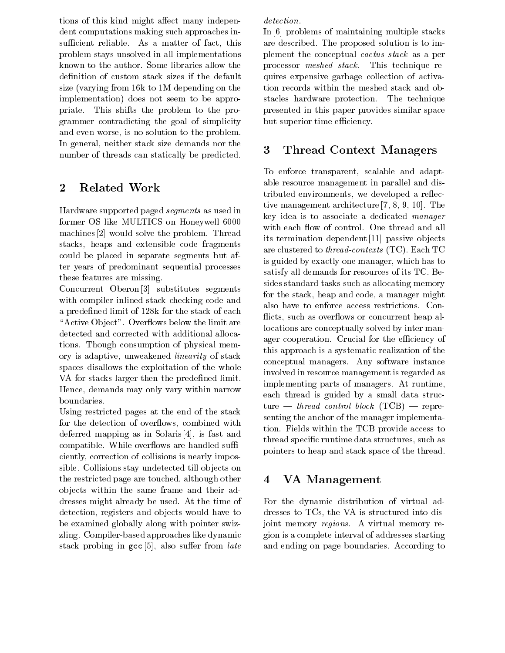tions of this kind might a ect many indepen dent computations making such approaches in sufficient reliable. As a matter of fact, this problem stays unsolved in all implementations known to the author. Some libraries allow the definition of custom stack sizes if the default size (varying from  $16k$  to 1M depending on the implementation- does not seem to beappro priate. This shifts the problem to the programmer contradicting the goal of simplicity and even worse, is no solution to the problem. In general, neither stack size demands nor the  $\frac{3}{2}$ number of threads can statically be predicted

#### $\bf{2}$ Related Work

Hardware supported paged segments as used in former OS like MULTICS on Honeywell  machines  $[2]$  would solve the problem. Thread stacks, heaps and extensible code fragments could be placed in separate segments but af ter years of predominant sequential processes these features are missing

Concurrent Oberon  $[3]$  substitutes segments with compiler inlined stack checking code and a predefined limit of 128k for the stack of each "Active Object". Overflows below the limit are detected and corrected with additional alloca tions. Though consumption of physical memory is adaptive, unweakened *linearity* of stack spaces disallows the exploitation of the whole VA for stacks larger then the predefined limit. Hence, demands may only vary within narrow boundaries

Using restricted pages at the end of the stack for the detection of overflows, combined with deferred mapping as in Solaris  $[4]$ , is fast and compatible. While overflows are handled sufficiently, correction of collisions is nearly impossible. Collisions stay undetected till objects on the restricted page are touched, although other  $\qquad \, 4$ ob jects within the same frame and their ad dresses might already be used. At the time of detection, registers and objects would have to be examined globally along with pointer swiz zling. Compiler-based approaches like dynamic stack problem in group in also supported the sum of the sum of

detection.

In  $[6]$  problems of maintaining multiple stacks are described. The proposed solution is to implement the conceptual cactus stack as a per processor meshed stack This technique re quires expensive garbage collection of activa tion records within the meshed stack and ob stacles hardware protection. The technique presented in this paper provides similar space but superior time efficiency.

# Thread Context Managers

To enforce transparent, scalable and adaptable resource management in parallel and dis tributed environments, we developed a reflective management architecture  $[7, 8, 9, 10]$ . The key idea is to associate a dedicated manager with each flow of control. One thread and all its termination dependent [11] passive objects are clustered to the cluster  $\mathbf{I}_{\mathbf{C}}$  . The cluster  $\mathbf{I}_{\mathbf{C}}$ is guided by exactly one manager, which has to satisfy all demands for resources of its TC Be sides standard tasks such as allocating memory for the stack, heap and code, a manager might also have to enforce access restrictions Con flicts, such as overflows or concurrent heap allocations are conceptually solved by inter man ager cooperation. Crucial for the efficiency of this approach is a systematic realization of the conceptual managers. Any software instance involved in resource management is regarded as implementing parts of managers. At runtime, each thread is guided by a small data struc ture and the control block TCB- and the control block TCB- and the control block TCB- and the control block TCBsenting the anchor of the manager implementa tion Fields within the TCB provide access to thread specific runtime data structures, such as pointers to heap and stack space of the thread

# VA Management

For the dynamic distribution of virtual ad dresses to TCs, the VA is structured into disjoint memory regions. A virtual memory region is a complete interval of addresses starting and ending on page boundaries. According to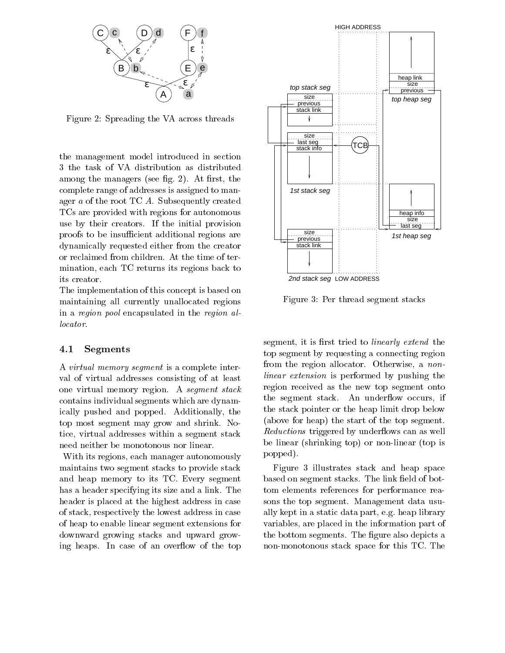

Figure 2: Spreading the VA across threads

the management model introduced in section the task of VA distribution as distributed and the managers see  $\alpha$  ,  $\alpha$  is the set  $\alpha$  -  $\alpha$ complete range of addresses is assigned to man ager  $a$  of the root TC  $\ddot{A}$ . Subsequently created TCs are provided with regions for autonomous use by their creators. If the initial provision proofs to be insufficient additional regions are dynamically requested either from the creator or reclaimed from children. At the time of termination, each TC returns its regions back to its creator

The implementation of this concept is based on maintaining all currently unallocated regions in a region pool encapsulated in the region al locator

#### 4.1 Segments

A virtual memory segment is a complete inter val of virtual addresses consisting of at least one virtual memory region. A segment stack contains individual segments which are dynam ically pushed and popped. Additionally, the top most segment may grow and shrink. Notice, virtual addresses within a segment stack need neither be monotonous nor linear

With its regions, each manager autonomously maintains two segment stacks to provide stack and heap memory to its TC Every segment has a header specifying its size and a link. The header is placed at the highest address in case of stack respectively the lowest address in case of heap to enable linear segment extensions for downward growing stacks and upward grow ing heaps. In case of an overflow of the top



Figure 3: Per thread segment stacks

segment, it is first tried to *linearly extend* the top segment by requesting a connecting region from the region allocator. Otherwise, a *non*linear extension is performed by pushing the region received as the new top segment onto the segment stack. An underflow occurs, if the stack pointer or the heap limit drop below  $\mathcal{A}$  and start of the top start of the top sequences. Reductions triggered by underflows can as well  $\sim$  0.000 cm  $\sim$  1.000 cm  $\sim$  1.000 cm  $\sim$  1.000 cm  $\sim$  1.000 cm  $\sim$ popped).

Figure 3 illustrates stack and heap space based on segment stacks. The link field of bottom elements references for performance rea sons the top segment. Management data usually kept in a static data part, e.g. heap library variables, are placed in the information part of the bottom segments. The figure also depicts a non-monotonous stack space for this TC. The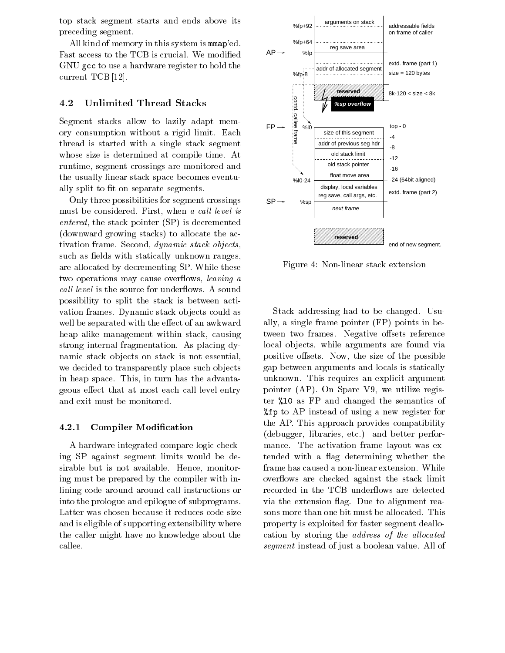top stack segment starts and ends above its preceding segment

All kind of memory in this system is manap'ed. Fast access to the TCB is crucial. We modified GNU gcc to use a hardware register to hold the current TCB  $[12]$ .

#### 4.2 Unlimited Thread Stacks

Segment stacks allow to lazily adapt mem ory consumption without a rigid limit. Each thread is started with a single stack segment whose size is determined at compile time. At runtime, segment crossings are monitored and the usually linear stack space becomes eventu ally split to fit on separate segments.

Only three possibilities for segment crossings must be considered. First, when a call level is entered the stack pointer (see ) is decremented the second contract of  $\sim$  $\alpha$  is a to allocate the action of the action of the action of the action of the action of the action of the action of the action of the action of the action of the action of the action of the action of the action of the tivation frame. Second, *dynamic stack objects*, such as fields with statically unknown ranges, are allocated by decrementing SP. While these two operations may cause overflows, *leaving a* call level is the source for underflows. A sound possibility to split the stack is between acti vation frames. Dynamic stack objects could as well be separated with the economic separated with the economic separated with the economic separated with the heap alike management within stack, causing strong internal fragmentation. As placing dynamic stack objects on stack is not essential. we decided to transparently place such objects in heap space. This, in turn has the advantageous external level and called entry at the called the control of the called the called the control of the co and exit must be monitored

#### $4.2.1$ Compiler Modification

A hardware integrated compare logic check ing SP against segment limits would be de sirable but is not available. Hence, monitoring must be prepared by the compiler with in lining code around around call instructions or into the prologue and epilogue of subprograms Latter was chosen because it reduces code size and is eligible of supporting extensibility where the caller might have no knowledge about the callee



Figure 4: Non-linear stack extension

Stack addressing had to be changed. Usually a single frame pointer FP- points in be tween two frames Negative o sets reference local objects, while arguments are found via positive of the size of the possible of the possible possible of the possible of the possible of the possible o gap between arguments and locals is statically unknown. This requires an explicit argument pointer AP-C we utilize register and the contract of the contract of the contract of the contract of the contract of the contract of the contract of the contract of the contract of the contract of the contract of the contr ter  $\chi$ 10 as FP and changed the semantics of  $\eta = \rho$  to AP instead of using a new register for the AP. This approach provides compatibility debugger libraries etc. In die better performance performance of the performance of the performance of the performance of the performance of the performance of the performance of the performance of the performance of the p mance. The activation frame layout was extended with a flag determining whether the frame has caused a non-linear extension. While overflows are checked against the stack limit recorded in the TCB underflows are detected via the extension flag. Due to alignment reasons more than one bit must be allocated. This property is exploited for faster segment deallo cation by storing the *address of the allocated* segment instead of just a boolean value. All of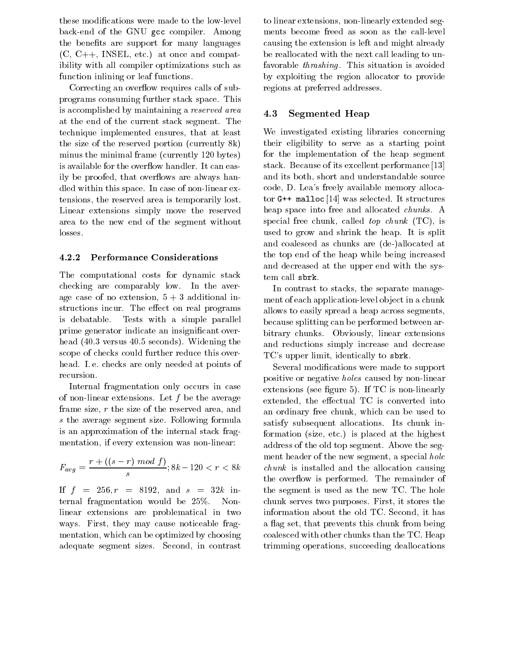these modifications were made to the low-level back-end of the GNU gcc compiler. Among the benefits are support for many languages  $\mathcal{C}$  .  $\mathcal{C}$  is a compatible and compatible and compatible and compatible and compatible and compatible and compatible and compatible and compatible and compatible and compatible and compatible and compatible and c ibility with all compiler optimizations such as function inlining or leaf functions

Correcting an overflow requires calls of subprograms consuming further stack space This is accomplished by maintaining a reserved area at the end of the current stack segment. The technique implemented ensures, that at least the size of the reserved portion (currently  $8k$ ) minus the minimal frame (currently 120 bytes) is available for the overflow handler. It can easily be proofed, that overflows are always handled within this space. In case of non-linear extensions, the reserved area is temporarily lost. Linear extensions simply move the reserved area to the new end of the segment without losses

### Performance Considerations

The computational costs for dynamic stack checking are comparably low. In the average case of no extension,  $5+3$  additional instructions include the extent of the extra programs and the structure of the extension of the extension of the is debatable Tests with a simple parallel prime generator indicate an insignificant overhead is the condition of the condition of the condition of the condition of the condition of the condition of the condition of the condition of the condition of the condition of the condition of the condition of the condit scope of checks could further reduce this over head. I.e. checks are only needed at points of recursion

Internal fragmentation only occurs in case of non-linear extensions. Let  $f$  be the average frame size,  $r$  the size of the reserved area, and s the average segment size. Following formula is an approximation of the internal stack frag mentation, if every extension was non-linear:

$$
F_{avg} = \frac{r + ((s - r) \mod f)}{s}; 8k - 120 < r < 8k
$$

If  $f = 256, r = 8192, \text{ and } s = 32k \text{ in-}$ ternal fragmentation would be  $25\%$ . Nonlinear extensions are problematical in two ways. First, they may cause noticeable fragmentation, which can be optimized by choosing adequate segment sizes. Second, in contrast

to linear extensions, non-linearly extended segments become freed as soon as the call-level causing the extension is left and might already be reallocated with the next call leading to un favorable *thrashing*. This situation is avoided by exploiting the region allocator to provide regions at preferred addresses

#### 4.3 Segmented Heap

We investigated existing libraries concerning their eligibility to serve as a starting point for the implementation of the heap segment stack. Because of its excellent performance [13] and its both, short and understandable source code, D. Lea's freely available memory allocator G-- malloc was selected It structures heap space into free and allocated *chunks*. A special free chunk called top chunk TC- is a special top chunk TCused to grow and shrink the heap. It is split and coalesced as chunks are de- de- de- de- de- de- de- dethe top end of the heap while being increased and decreased at the upper end with the sys tem call sbrk

In contrast to stacks, the separate management of each application-level object in a chunk allows to easily spread a heap across segments because splitting can be performed between ar bitrary chunks. Obviously, linear extensions and reductions simply increase and decrease TC's upper limit, identically to sbrk.

 $\mathbf{r}$  is  $\mathbf{r}$  and  $\mathbf{r}$  is integrated and the allocation causing Several modifications were made to support positive or negative *holes* caused by non-linear extensions see gure - If TC is non-linearly see gure - If TC is non-linearly see gure - If TC is non-linearly s extended the economic is converted into the economic into the economic into the economic into the economic into an ordinary free chunk, which can be used to satisfy subsequent allocations. Its chunk information size etc- is placed atthe highest address of the old top segment. Above the segment header of the new segment, a special hole the overflow is performed. The remainder of the segment is used as the new TC The hole chunk serves two purposes. First, it stores the information about the old TC. Second, it has a flag set, that prevents this chunk from being coalesced with other chunks than the TC Heap trimming operations, succeeding deallocations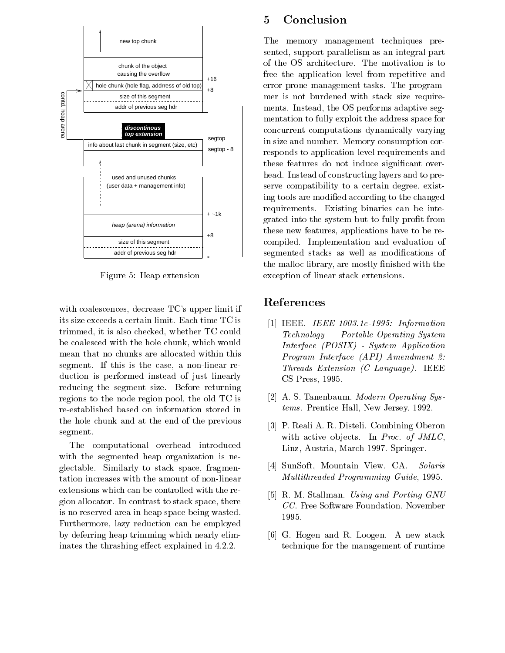

Figure 5: Heap extension

with coalescences, decrease TC's upper limit if its size exceeds a certain limit. Each time TC is trimmed, it is also checked, whether TC could be coalesced with the hole chunk, which would mean that no chunks are allocated within this segment. If this is the case, a non-linear reduction is performed instead of just linearly reducing the segment size. Before returning regions to the node region pool, the old TC is reestablished based on information stored in the hole chunk and at the end of the previous segment

The computational overhead introduced with the segmented heap organization is neglectable Similarly to stack space fragmen tation increases with the amount of non-linear extensions which can be controlled with the re gion allocator. In contrast to stack space, there is no reserved area in heap space being wasted Furthermore, lazy reduction can be employed by deferring heap trimming which nearly elim in the thrashing equation of  $\mathbf{r}$  . The thrashing equation is the thrashing equation of  $\mathbf{r}$ 

### Conclusion

The memory management techniques pre sented, support parallelism as an integral part of the OS architecture. The motivation is to free the application level from repetitive and error prone management tasks The program mer is not burdened with stack size require ments. Instead, the OS performs adaptive segmentation to fully exploit the address space for concurrent computations dynamically varying in size and number. Memory consumption corresponds to application-level requirements and these features do not induce signicant over head. Instead of constructing layers and to preserve compatibility to a certain degree, existing tools are modified according to the changed requirements. Existing binaries can be integrated into the system but to fully profit from these new features, applications have to be recompiled. Implementation and evaluation of segmented stacks as well as modifications of the malloc library, are mostly finished with the exception of linear stack extensions

## References

- IEEE IEEE --c- Information  $Technology - Portable Operating System$ interface **Interface, and a**pplication in the property of the system of the system of the system of the system of the system of the system of the system of the system of the system of the system of the system of the system Program Program Interface Program Interface Interface The Extension of Collection and Collection and Collection and Collection and Collection and Collection and Collection and Collection and Collection and Collection and Collection and Collection and Collection and Collection CS Press, 1995.
- [2] A. S. Tanenbaum. *Modern Operating Sys*tems. Prentice Hall, New Jersey, 1992.
- [3] P. Reali A. R. Disteli. Combining Oberon with active objects. In Proc. of  $JMLC$ . Linz, Austria, March 1997. Springer.
- $[4]$  SunSoft, Mountain View, CA. Solaris Multithreaded Programming Guide, 1995.
- [5] R. M. Stallman. Using and Porting GNU CC. Free Software Foundation, November 1995.
- [6] G. Hogen and R. Loogen. A new stack technique for the management of runtime